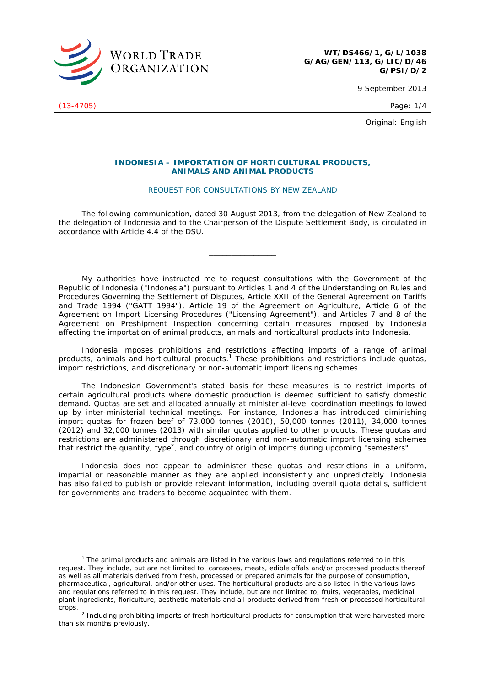

9 September 2013

Original: English

## **INDONESIA – IMPORTATION OF HORTICULTURAL PRODUCTS, ANIMALS AND ANIMAL PRODUCTS**

## REQUEST FOR CONSULTATIONS BY NEW ZEALAND

 The following communication, dated 30 August 2013, from the delegation of New Zealand to the delegation of Indonesia and to the Chairperson of the Dispute Settlement Body, is circulated in accordance with Article 4.4 of the DSU.

**\_\_\_\_\_\_\_\_\_\_\_\_\_\_\_** 

My authorities have instructed me to request consultations with the Government of the Republic of Indonesia ("Indonesia") pursuant to Articles 1 and 4 of the *Understanding on Rules and Procedures Governing the Settlement of Disputes*, Article XXII of the *General Agreement on Tariffs and Trade 1994* ("GATT 1994"), Article 19 of the *Agreement on Agriculture*, Article 6 of the *Agreement on Import Licensing Procedures* ("Licensing Agreement"), and Articles 7 and 8 of the *Agreement on Preshipment Inspection* concerning certain measures imposed by Indonesia affecting the importation of animal products, animals and horticultural products into Indonesia.

Indonesia imposes prohibitions and restrictions affecting imports of a range of animal products, animals and horticultural products.<sup>1</sup> These prohibitions and restrictions include quotas, import restrictions, and discretionary or non-automatic import licensing schemes.

The Indonesian Government's stated basis for these measures is to restrict imports of certain agricultural products where domestic production is deemed sufficient to satisfy domestic demand. Quotas are set and allocated annually at ministerial-level coordination meetings followed up by inter-ministerial technical meetings. For instance, Indonesia has introduced diminishing import quotas for frozen beef of 73,000 tonnes (2010), 50,000 tonnes (2011), 34,000 tonnes (2012) and 32,000 tonnes (2013) with similar quotas applied to other products. These quotas and restrictions are administered through discretionary and non-automatic import licensing schemes that restrict the quantity, type<sup>2</sup>, and country of origin of imports during upcoming "semesters".

Indonesia does not appear to administer these quotas and restrictions in a uniform, impartial or reasonable manner as they are applied inconsistently and unpredictably. Indonesia has also failed to publish or provide relevant information, including overall quota details, sufficient for governments and traders to become acquainted with them.

(13-4705) Page: 1/4

 $\frac{1}{1}$  $1$  The animal products and animals are listed in the various laws and regulations referred to in this request. They include, but are not limited to, carcasses, meats, edible offals and/or processed products thereof as well as all materials derived from fresh, processed or prepared animals for the purpose of consumption, pharmaceutical, agricultural, and/or other uses. The horticultural products are also listed in the various laws and regulations referred to in this request. They include, but are not limited to, fruits, vegetables, medicinal plant ingredients, floriculture, aesthetic materials and all products derived from fresh or processed horticultural crops.

<sup>&</sup>lt;sup>2</sup> Including prohibiting imports of fresh horticultural products for consumption that were harvested more than six months previously.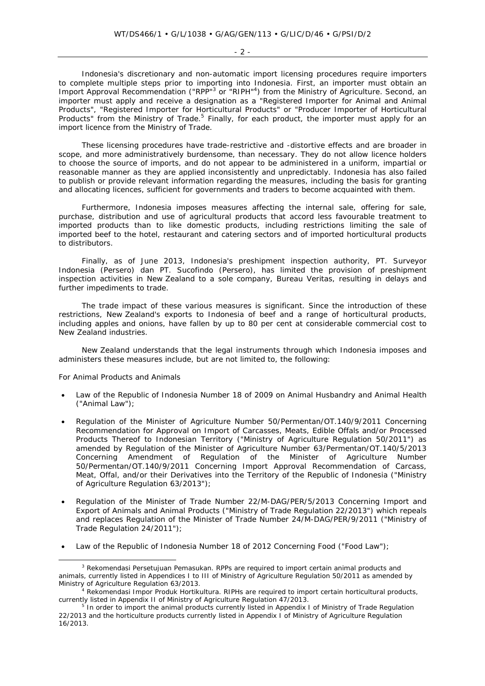$-2 -$ 

Indonesia's discretionary and non-automatic import licensing procedures require importers to complete multiple steps prior to importing into Indonesia. First, an importer must obtain an Import Approval Recommendation ("RPP"<sup>3</sup> or "RIPH"<sup>4</sup>) from the Ministry of Agriculture. Second, an importer must apply and receive a designation as a "Registered Importer for Animal and Animal Products", "Registered Importer for Horticultural Products" or "Producer Importer of Horticultural Products" from the Ministry of Trade.<sup>5</sup> Finally, for each product, the importer must apply for an import licence from the Ministry of Trade.

These licensing procedures have trade-restrictive and -distortive effects and are broader in scope, and more administratively burdensome, than necessary. They do not allow licence holders to choose the source of imports, and do not appear to be administered in a uniform, impartial or reasonable manner as they are applied inconsistently and unpredictably. Indonesia has also failed to publish or provide relevant information regarding the measures, including the basis for granting and allocating licences, sufficient for governments and traders to become acquainted with them.

Furthermore, Indonesia imposes measures affecting the internal sale, offering for sale, purchase, distribution and use of agricultural products that accord less favourable treatment to imported products than to like domestic products, including restrictions limiting the sale of imported beef to the hotel, restaurant and catering sectors and of imported horticultural products to distributors.

Finally, as of June 2013, Indonesia's preshipment inspection authority, *PT. Surveyor Indonesia (Persero) dan PT. Sucofindo (Persero)*, has limited the provision of preshipment inspection activities in New Zealand to a sole company, *Bureau Veritas*, resulting in delays and further impediments to trade.

The trade impact of these various measures is significant. Since the introduction of these restrictions, New Zealand's exports to Indonesia of beef and a range of horticultural products, including apples and onions, have fallen by up to 80 per cent at considerable commercial cost to New Zealand industries.

New Zealand understands that the legal instruments through which Indonesia imposes and administers these measures include, but are not limited to, the following:

## *For Animal Products and Animals*

- Law of the Republic of Indonesia Number 18 of 2009 on Animal Husbandry and Animal Health ("Animal Law");
- Regulation of the Minister of Agriculture Number 50/Permentan/OT.140/9/2011 Concerning Recommendation for Approval on Import of Carcasses, Meats, Edible Offals and/or Processed Products Thereof to Indonesian Territory ("Ministry of Agriculture Regulation 50/2011") as amended by Regulation of the Minister of Agriculture Number 63/Permentan/OT.140/5/2013 Concerning Amendment of Regulation of the Minister of Agriculture Number 50/Permentan/OT.140/9/2011 Concerning Import Approval Recommendation of Carcass, Meat, Offal, and/or their Derivatives into the Territory of the Republic of Indonesia ("Ministry of Agriculture Regulation 63/2013");
- Regulation of the Minister of Trade Number 22/M-DAG/PER/5/2013 Concerning Import and Export of Animals and Animal Products ("Ministry of Trade Regulation 22/2013") which repeals and replaces Regulation of the Minister of Trade Number 24/M-DAG/PER/9/2011 ("Ministry of Trade Regulation 24/2011");
- Law of the Republic of Indonesia Number 18 of 2012 Concerning Food ("Food Law");

 <sup>3</sup> *Rekomendasi Persetujuan Pemasukan*. RPPs are required to import certain animal products and animals, currently listed in Appendices I to III of Ministry of Agriculture Regulation 50/2011 as amended by

Rekomendasi Impor Produk Hortikultura. RIPHs are required to import certain horticultural products, currently listed in Appendix II of Ministry of Agriculture Regulation 47/2013.

In order to import the animal products currently listed in Appendix I of Ministry of Trade Regulation 22/2013 and the horticulture products currently listed in Appendix I of Ministry of Agriculture Regulation 16/2013.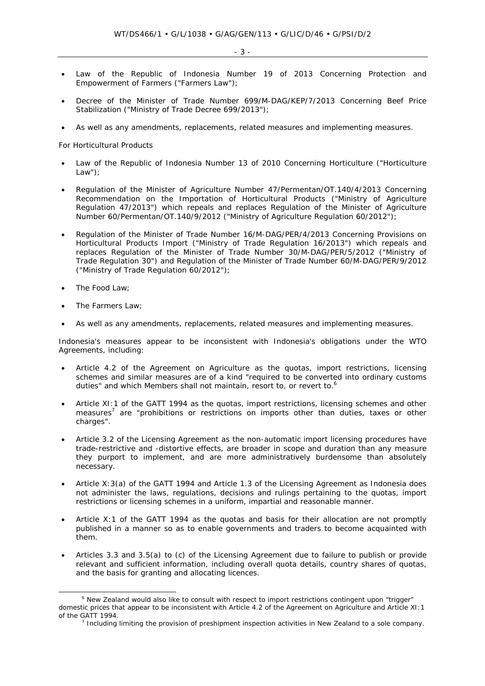- Law of the Republic of Indonesia Number 19 of 2013 Concerning Protection and Empowerment of Farmers ("Farmers Law");
- Decree of the Minister of Trade Number 699/M-DAG/KEP/7/2013 Concerning Beef Price Stabilization ("Ministry of Trade Decree 699/2013");
- As well as any amendments, replacements, related measures and implementing measures.

## *For Horticultural Products*

- Law of the Republic of Indonesia Number 13 of 2010 Concerning Horticulture ("Horticulture Law");
- Regulation of the Minister of Agriculture Number 47/Permentan/OT.140/4/2013 Concerning Recommendation on the Importation of Horticultural Products ("Ministry of Agriculture Regulation 47/2013") which repeals and replaces Regulation of the Minister of Agriculture Number 60/Permentan/OT.140/9/2012 ("Ministry of Agriculture Regulation 60/2012");
- Regulation of the Minister of Trade Number 16/M-DAG/PER/4/2013 Concerning Provisions on Horticultural Products Import ("Ministry of Trade Regulation 16/2013") which repeals and replaces Regulation of the Minister of Trade Number 30/M-DAG/PER/5/2012 ("Ministry of Trade Regulation 30") and Regulation of the Minister of Trade Number 60/M-DAG/PER/9/2012 ("Ministry of Trade Regulation 60/2012");
- The Food Law;
- The Farmers Law;
- As well as any amendments, replacements, related measures and implementing measures.

Indonesia's measures appear to be inconsistent with Indonesia's obligations under the WTO Agreements, including:

- Article 4.2 of the Agreement on Agriculture as the quotas, import restrictions, licensing schemes and similar measures are of a kind "required to be converted into ordinary customs duties" and which Members shall not maintain, resort to, or revert to.<sup>6</sup>
- Article XI:1 of the GATT 1994 as the quotas, import restrictions, licensing schemes and other measures<sup>7</sup> are "prohibitions or restrictions on imports other than duties, taxes or other charges".
- Article 3.2 of the Licensing Agreement as the non-automatic import licensing procedures have trade-restrictive and -distortive effects, are broader in scope and duration than any measure they purport to implement, and are more administratively burdensome than absolutely necessary.
- Article X:3(a) of the GATT 1994 and Article 1.3 of the Licensing Agreement as Indonesia does not administer the laws, regulations, decisions and rulings pertaining to the quotas, import restrictions or licensing schemes in a uniform, impartial and reasonable manner.
- Article X:1 of the GATT 1994 as the quotas and basis for their allocation are not promptly published in a manner so as to enable governments and traders to become acquainted with them.
- Articles 3.3 and 3.5(a) to (c) of the Licensing Agreement due to failure to publish or provide relevant and sufficient information, including overall quota details, country shares of quotas, and the basis for granting and allocating licences.

 $\overline{\phantom{0}}$ <sup>6</sup> New Zealand would also like to consult with respect to import restrictions contingent upon "trigger" domestic prices that appear to be inconsistent with Article 4.2 of the Agreement on Agriculture and Article XI:1 of the GATT 1994.

<sup>&</sup>lt;sup>7</sup> Including limiting the provision of preshipment inspection activities in New Zealand to a sole company.